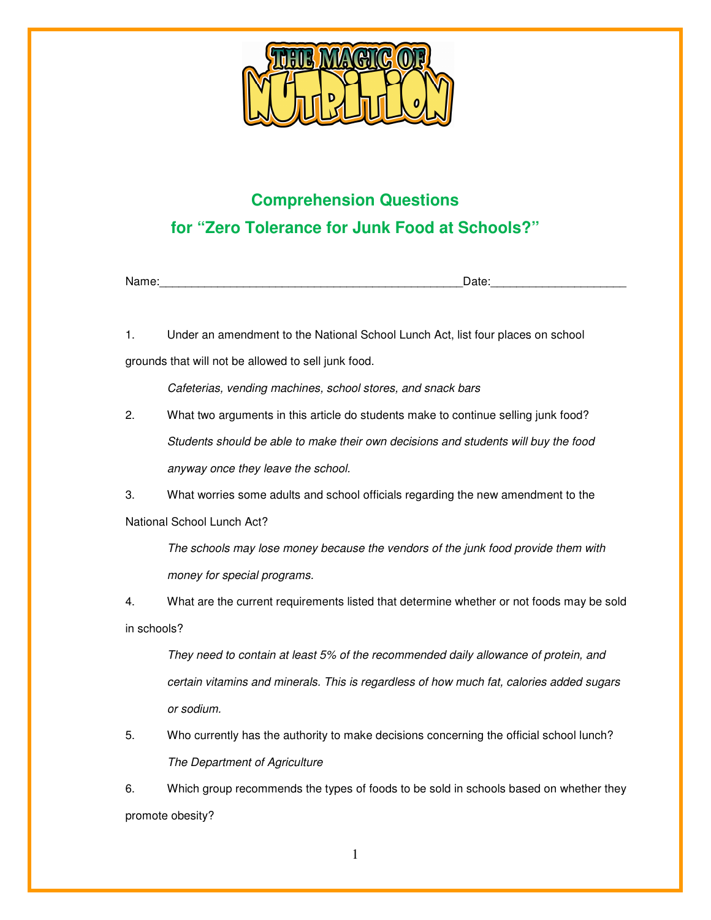

## **Comprehension Questions for "Zero Tolerance for Junk Food at Schools?"**

Name:\_\_\_\_\_\_\_\_\_\_\_\_\_\_\_\_\_\_\_\_\_\_\_\_\_\_\_\_\_\_\_\_\_\_\_\_\_\_\_\_\_\_\_\_\_\_\_Date:\_\_\_\_\_\_\_\_\_\_\_\_\_\_\_\_\_\_\_\_\_

1. Under an amendment to the National School Lunch Act, list four places on school grounds that will not be allowed to sell junk food.

Cafeterias, vending machines, school stores, and snack bars

2. What two arguments in this article do students make to continue selling junk food? Students should be able to make their own decisions and students will buy the food anyway once they leave the school.

3. What worries some adults and school officials regarding the new amendment to the National School Lunch Act?

The schools may lose money because the vendors of the junk food provide them with money for special programs.

4. What are the current requirements listed that determine whether or not foods may be sold in schools?

They need to contain at least 5% of the recommended daily allowance of protein, and certain vitamins and minerals. This is regardless of how much fat, calories added sugars or sodium.

5. Who currently has the authority to make decisions concerning the official school lunch? The Department of Agriculture

6. Which group recommends the types of foods to be sold in schools based on whether they promote obesity?